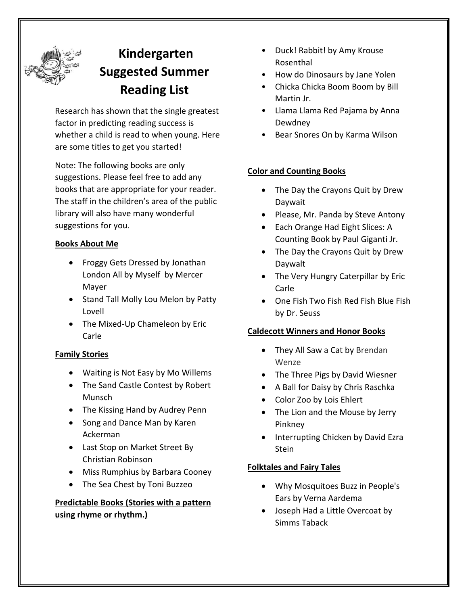

# **Kindergarten Suggested Summer Reading List**

Research has shown that the single greatest factor in predicting reading success is whether a child is read to when young. Here are some titles to get you started!

Note: The following books are only suggestions. Please feel free to add any books that are appropriate for your reader. The staff in the children's area of the public library will also have many wonderful suggestions for you.

### **Books About Me**

- Froggy Gets Dressed by Jonathan London All by Myself by Mercer Mayer
- Stand Tall Molly Lou Melon by Patty Lovell
- The Mixed-Up Chameleon by Eric Carle

#### **Family Stories**

- Waiting is Not Easy by Mo Willems
- The Sand Castle Contest by Robert Munsch
- The Kissing Hand by Audrey Penn
- Song and Dance Man by Karen Ackerman
- Last Stop on Market Street By Christian Robinson
- Miss Rumphius by Barbara Cooney
- The Sea Chest by Toni Buzzeo

# **Predictable Books (Stories with a pattern using rhyme or rhythm.)**

- Duck! Rabbit! by Amy Krouse Rosenthal
- How do Dinosaurs by Jane Yolen
- Chicka Chicka Boom Boom by Bill Martin Jr.
- Llama Llama Red Pajama by Anna Dewdney
- Bear Snores On by Karma Wilson

### **Color and Counting Books**

- The Day the Crayons Quit by Drew Daywait
- Please, Mr. Panda by Steve Antony
- Each Orange Had Eight Slices: A Counting Book by Paul Giganti Jr.
- The Day the Crayons Quit by Drew Daywalt
- The Very Hungry Caterpillar by Eric Carle
- One Fish Two Fish Red Fish Blue Fish by Dr. Seuss

#### **Caldecott Winners and Honor Books**

- They All Saw a Cat by Brendan Wenze
- The Three Pigs by David Wiesner
- A Ball for Daisy by Chris Raschka
- Color Zoo by Lois Ehlert
- The Lion and the Mouse by Jerry Pinkney
- Interrupting Chicken by David Ezra Stein

#### **Folktales and Fairy Tales**

- Why Mosquitoes Buzz in People's Ears by Verna Aardema
- Joseph Had a Little Overcoat by Simms Taback